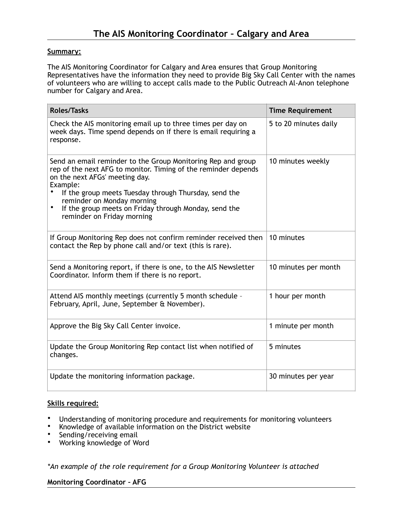### **Summary:**

The AIS Monitoring Coordinator for Calgary and Area ensures that Group Monitoring Representatives have the information they need to provide Big Sky Call Center with the names of volunteers who are willing to accept calls made to the Public Outreach Al-Anon telephone number for Calgary and Area.

| <b>Roles/Tasks</b>                                                                                                                                                                                                                                                                                                                                                      | <b>Time Requirement</b> |
|-------------------------------------------------------------------------------------------------------------------------------------------------------------------------------------------------------------------------------------------------------------------------------------------------------------------------------------------------------------------------|-------------------------|
| Check the AIS monitoring email up to three times per day on<br>week days. Time spend depends on if there is email requiring a<br>response.                                                                                                                                                                                                                              | 5 to 20 minutes daily   |
| Send an email reminder to the Group Monitoring Rep and group<br>rep of the next AFG to monitor. Timing of the reminder depends<br>on the next AFGs' meeting day.<br>Example:<br>If the group meets Tuesday through Thursday, send the<br>reminder on Monday morning<br>$\bullet$<br>If the group meets on Friday through Monday, send the<br>reminder on Friday morning | 10 minutes weekly       |
| If Group Monitoring Rep does not confirm reminder received then<br>contact the Rep by phone call and/or text (this is rare).                                                                                                                                                                                                                                            | 10 minutes              |
| Send a Monitoring report, if there is one, to the AIS Newsletter<br>Coordinator. Inform them if there is no report.                                                                                                                                                                                                                                                     | 10 minutes per month    |
| Attend AIS monthly meetings (currently 5 month schedule -<br>February, April, June, September & November).                                                                                                                                                                                                                                                              | 1 hour per month        |
| Approve the Big Sky Call Center invoice.                                                                                                                                                                                                                                                                                                                                | 1 minute per month      |
| Update the Group Monitoring Rep contact list when notified of<br>changes.                                                                                                                                                                                                                                                                                               | 5 minutes               |
| Update the monitoring information package.                                                                                                                                                                                                                                                                                                                              | 30 minutes per year     |

# **Skills required:**

- Understanding of monitoring procedure and requirements for monitoring volunteers<br>• Knowledge of available information on the District website
- Knowledge of available information on the District website<br>• Sonding/receiving email
- Sending/receiving email<br>• Working knowledge of We
- Working knowledge of Word

*\*An example of the role requirement for a Group Monitoring Volunteer is attached* 

**Monitoring Coordinator – AFG**